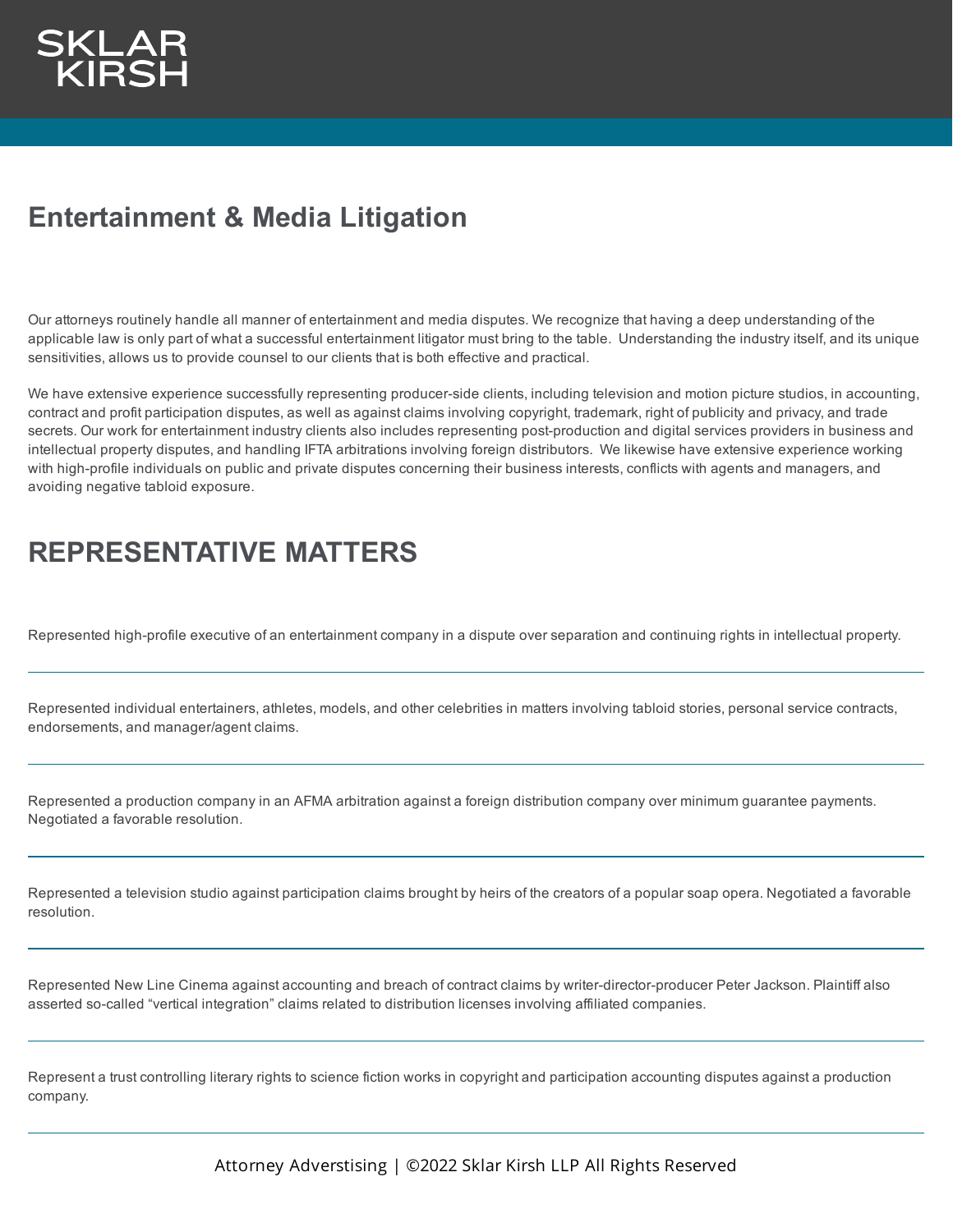## **Entertainment & Media Litigation**

Our attorneys routinely handle all manner of entertainment and media disputes. We recognize that having a deep understanding of the applicable law is only part of what a successful entertainment litigator must bring to the table. Understanding the industry itself, and its unique sensitivities, allows us to provide counsel to our clients that is both effective and practical.

We have extensive experience successfully representing producer-side clients, including television and motion picture studios, in accounting, contract and profit participation disputes, as well as against claims involving copyright, trademark, right of publicity and privacy, and trade secrets. Our work for entertainment industry clients also includes representing post-production and digital services providers in business and intellectual property disputes, and handling IFTA arbitrations involving foreign distributors. We likewise have extensive experience working with high-profile individuals on public and private disputes concerning their business interests, conflicts with agents and managers, and avoiding negative tabloid exposure.

## **REPRESENTATIVE MATTERS**

Represented high-profile executive of an entertainment company in a dispute over separation and continuing rights in intellectual property.

Represented individual entertainers, athletes, models, and other celebrities in matters involving tabloid stories, personal service contracts, endorsements, and manager/agent claims.

Represented a production company in an AFMA arbitration against a foreign distribution company over minimum guarantee payments. Negotiated a favorable resolution.

Represented a television studio against participation claims brought by heirs of the creators of a popular soap opera. Negotiated a favorable resolution.

Represented New Line Cinema against accounting and breach of contract claims by writer-director-producer Peter Jackson. Plaintiff also asserted so-called "vertical integration" claims related to distribution licenses involving affiliated companies.

Represent a trust controlling literary rights to science fiction works in copyright and participation accounting disputes against a production company.